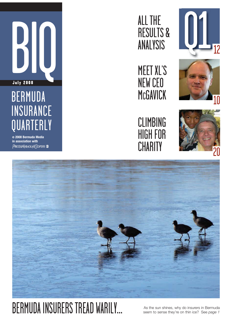

# INSURANCE **QUARTERLY**

**© 2008 Bermuda Media in association with**  PRICEWATERHOUSE COPERS

### ALL THE RESULTS & ANALYSIS







CLIMBING HIGH FOR **CHARITY** 





### **BERMUDA INSURERS TREAD WARILY** As the sun shines, why do insurers in Bermuda<br>
Seem to sense they're on thin ice? See page 1

seem to sense they're on thin ice? See *page 1*